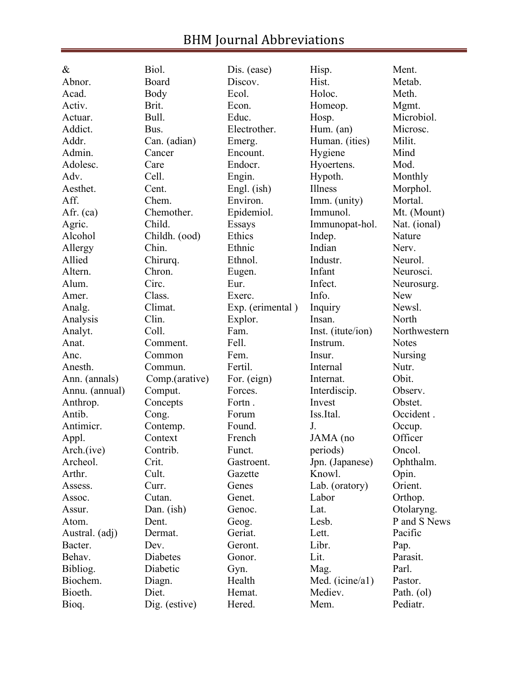| $\&$           | Biol.          | Dis. (ease)      | Hisp.             | Ment.                   |
|----------------|----------------|------------------|-------------------|-------------------------|
| Abnor.         | Board          | Discov.          | Hist.             | Metab.                  |
| Acad.          | Body           | Ecol.            | Holoc.            | Meth.                   |
| Activ.         | Brit.          | Econ.            | Homeop.           | Mgmt.                   |
| Actuar.        | Bull.          | Educ.            | Hosp.             | Microbiol.              |
| Addict.        | Bus.           | Electrother.     | Hum. $(an)$       | Microsc.                |
| Addr.          | Can. (adian)   | Emerg.           | Human. (ities)    | Milit.                  |
| Admin.         | Cancer         | Encount.         | Hygiene           | Mind                    |
| Adolesc.       | Care           | Endocr.          | Hyoertens.        | Mod.                    |
| Adv.           | Cell.          | Engin.           | Hypoth.           | Monthly                 |
| Aesthet.       | Cent.          | Engl. (ish)      | Illness           | Morphol.                |
| Aff.           | Chem.          | Environ.         | Imm. (unity)      | Mortal.                 |
| Afr. (ca)      | Chemother.     | Epidemiol.       | Immunol.          | Mt. (Mount)             |
| Agric.         | Child.         | Essays           | Immunopat-hol.    | Nat. (ional)            |
| Alcohol        | Childh. (ood)  | Ethics           | Indep.            | Nature                  |
| Allergy        | Chin.          | Ethnic           | Indian            | Nerv.                   |
| Allied         | Chirurq.       | Ethnol.          | Industr.          | Neurol.                 |
| Altern.        | Chron.         | Eugen.           | Infant            | Neurosci.               |
| Alum.          | Circ.          | Eur.             | Infect.           | Neurosurg.              |
| Amer.          | Class.         | Exerc.           | Info.             | <b>New</b>              |
| Analg.         | Climat.        | Exp. (erimental) | Inquiry           | Newsl.                  |
| Analysis       | Clin.          | Explor.          | Insan.            | North                   |
| Analyt.        | Coll.          | Fam.             | Inst. (itute/ion) | Northwestern            |
| Anat.          | Comment.       | Fell.            | Instrum.          | <b>Notes</b>            |
| Anc.           |                | Fem.             | Insur.            |                         |
| Anesth.        | Common         | Fertil.          | Internal          | <b>Nursing</b><br>Nutr. |
|                | Commun.        |                  |                   |                         |
| Ann. (annals)  | Comp.(arative) | For. (eign)      | Internat.         | Obit.                   |
| Annu. (annual) | Comput.        | Forces.          | Interdiscip.      | Observ.                 |
| Anthrop.       | Concepts       | Fortn.           | Invest            | Obstet.                 |
| Antib.         | Cong.          | Forum            | Iss.Ital.         | Occident.               |
| Antimicr.      | Contemp.       | Found.           | J.                | Occup.                  |
| Appl.          | Context        | French           | JAMA (no          | Officer                 |
| Arch.(ive)     | Contrib.       | Funct.           | periods)          | Oncol.                  |
| Archeol.       | Crit.          | Gastroent.       | Jpn. (Japanese)   | Ophthalm.               |
| Arthr.         | Cult.          | Gazette          | Knowl.            | Opin.                   |
| Assess.        | Curr.          | Genes            | Lab. (oratory)    | Orient.                 |
| Assoc.         | Cutan.         | Genet.           | Labor             | Orthop.                 |
| Assur.         | Dan. (ish)     | Genoc.           | Lat.              | Otolaryng.              |
| Atom.          | Dent.          | Geog.            | Lesb.             | P and S News            |
| Austral. (adj) | Dermat.        | Geriat.          | Lett.             | Pacific                 |
| Bacter.        | Dev.           | Geront.          | Libr.             | Pap.                    |
| Behav.         | Diabetes       | Gonor.           | Lit.              | Parasit.                |
| Bibliog.       | Diabetic       | Gyn.             | Mag.              | Parl.                   |
| Biochem.       | Diagn.         | Health           | Med. (icine/a1)   | Pastor.                 |
| Bioeth.        | Diet.          | Hemat.           | Mediev.           | Path. (ol)              |
| Bioq.          | Dig. (estive)  | Hered.           | Mem.              | Pediatr.                |